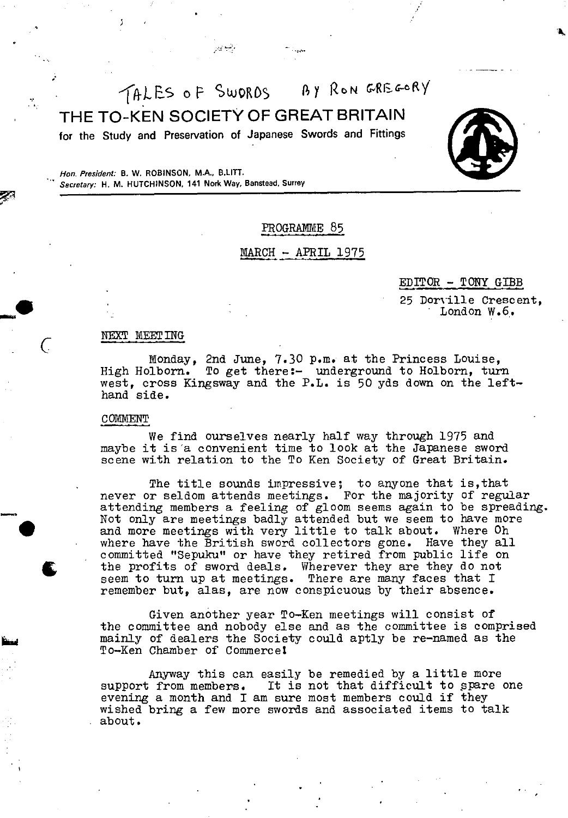$TAKES$  of SWORDS  $BYRON$ THE TO-KEN SOCIETY OF GREAT BRITAIN

for the Study and Preservation of Japanese Swords and Fittings



# PROGRAMME 85

## MARCH - APRIL 1975

 $EDITOR - TONT GIBB$ 

25 Dorville Crescent, London W.6.

#### NEXT MEET ING

Monday, 2nd June, 7.30 p.m. at the Princess Louise,<br>High Holborn. To get there:- underground to Holborn, tur To get there:- underground to Holborn, turn west, cross Kingsway and the P.L. is 50 yds down on the lefthand side.

## COMMENT

-a.

We find ourselves nearly half way through 1975 and maybe it is'a convenient time to look at the Japanese sword scene with relation to the To Ken Society of Great Britain.

The title sounds impressive; to anyone that is,that never or seldom attends meetings. For the majority of regular attending members a feeling of gloom seems again to be spreading. Not only are meetings badly attended but we seem to have more and more meetings with very little to talk about. Where Oh where have the British sword collectors gone. Have they all committed "Sepuku" or have they retired from public life on the profits of sword deals. Wherever they are they do not seem to turn up at meetings. There are many faces that I remember but, alas, are now conspicuous by their absence.

Given another year To-Ken meetings will consist of the committee and nobody else and as the committee is comprised mainly of dealers the Society could aptly be re-named as the To-Ken Chamber of Commerce!

Anyway this can easily be remedied by a little more support from members. It is not that difficult to spare one evening a month and I am sure most members could if they wished bring a few more swords and associated items to talk about.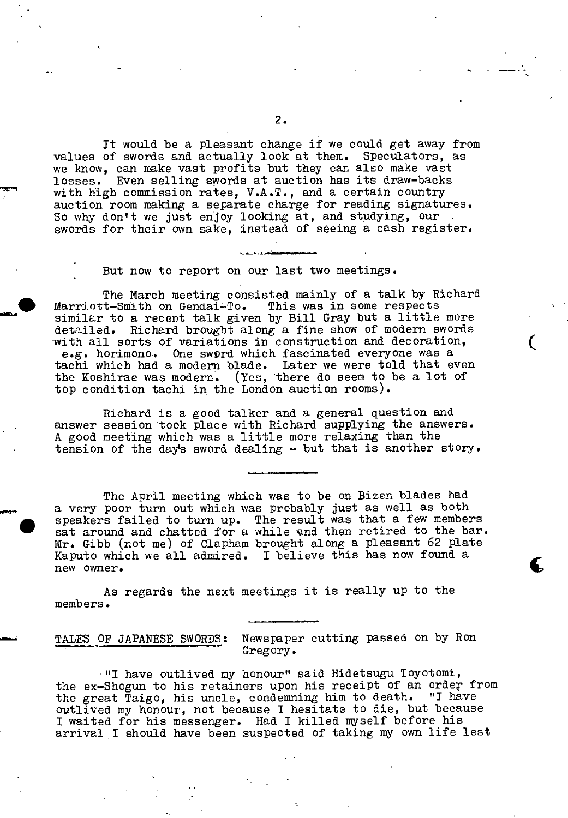It would be a pleasant change if we could get away from<br>of swords and actually look at them. Speculators, as values of swords and actually look at them. we mow, can make vast profits but they can also make vast losses. Even selling swords at auction has its draw-backs with high commission rates, V.A.T., and a certain country auction room making a separate charge for reading signatures. So why don't we just enjoy looking at, and studying, our swords for their own sake, instead of seeing a cash register.

But now to report on our last two meetings.

The March meeting consisted mainly of a talk by Richard<br>t-Smith on Gendai-To. This was in some respects Marriott-Smith on Gendai-To. similar to a recent talk given by Bill Gray but a little more detailed. Richard brought along a fine show of modern swords with all sorts of variations in construction and decoration, e.g. horimono. One sword which fascinated everyone was a tachi which had a modern blade. Later we were told that even the Koshirae was modern. (Yes, there do seem to be a lot of top condition tachi in the London auction rooms).

 $\zeta$ 

Richard is a good talker and a general question and • answer session took place with Richard supplying the answers. A good meeting which was a little more relaxing than the tension of the day's sword dealing - but that is another story.

The April meeting which was to be on Bizen blades had a very poor turn out which was probably just as well as both speakers failed to turn up. The result was that a few members sat around and chatted for a while and then retired to the bar. Mr. Gibb (not me) of Clapham brought along a pleasant 62 plate Kaputo which we all admired. I believe this has now found a new owner.

As regards the next meetings it is really up to the members.

## TALES OF JAPANESE SWORDS: Newspaper cutting passed on by Ron Gregory.

"I have outlived my honour" said Hidetsugu Toyotomi, the ex-Shogun to his retainers upon his receipt of an order from the great Taigo, his uncle, condemning him to death. "I have outlived my honour, not because I hesitate to die, but because I waited for his messenger. Had I killed myself before his arrival I should have been suspected of taking my own life lest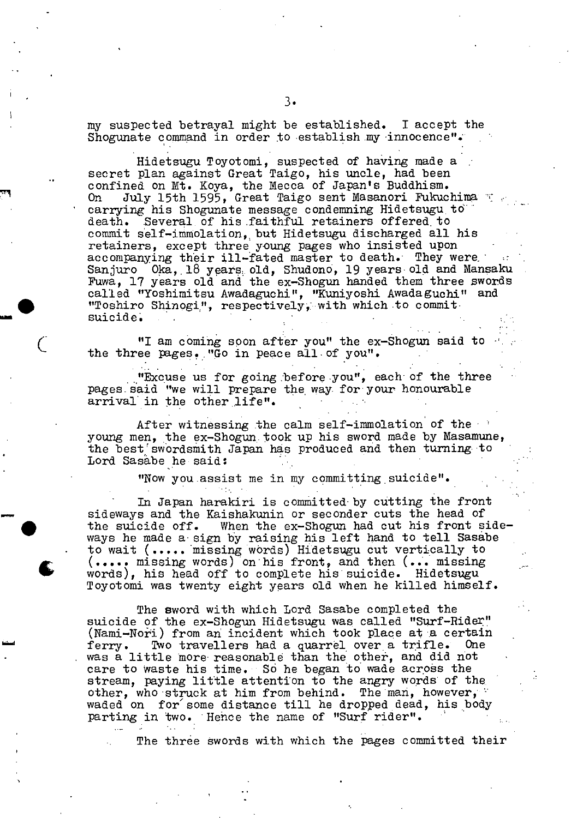my suspected betrayal might be established. I accept the Shogunate command in order to establish my innocence".

Hidetsugu Toyotomi, suspected of having made a secret plan against Great Taigo, his uncle, had been confined on Mt. Koya, the Mecca of Japan's Buddhism. On July 15th 1595, Great Taigo sent Masanori Fukuchima carrying his Shogunate message condemning Hidetsugu.td' death. Several of his faithful retainers offered, to commit self-immolation,, but Hidetsugu discharged all his retainers, except three young pages who insisted upon accompanying their ill-fated master to death. They were. Sanjuro Oka, 18 years old, Shudono, 19 years old and Mansaku Puwa, 17 years old and the ex-Shogun handed them three zwords called "Yoshimitsu Awadaguchi", "Kuniyoshi Awadaguchi" and • "Toshiro Shinogi."., respectively:•with which to commit suicide.

"I am coming soon after you" the ex-Shogun said to the three pages. "Go in peace all of you".

"Excuse us for going 'before you", each of the three pages.said "we will prepare the way. foryour honourable arrival in the other life".

After witnessing the calm self-immolation of the young men, the ex-Shogun took up his sword made by Masamune, the best swordsmith Japan has produced and then turning to Lord Sasabe he said:

"Now you.assist me in my committing suicide".

In Japan harakiri is committed by cutting the front sideways and the Kaishakunin or seconder cuts the head of the suicide off. When the  $ex$ -Shogun had cut his front sideways he made a sign by raising his left hand to tell Sasabe to wait (..... 'missing words) Hidetsugu cut vertically to (..... missing words) on his front, and then (... missing words), his head off to complete his'suicide. Hidetsugu Toyotomi was twenty eight years old when he killed himself.

 $\bullet$ 

The sword with which Lord Sasabe completed the suicide of the ex-Shogun Hidetsugu was called "Surf-Rider" (Nami-Nori) from an incident which took place at a certain ferry. Two travellers had a quarrel over a trifle. One was a little more reasonable than the other, and did not care to waste his time. So he began to wade across the stream, paying little attention to the angry words of the other, who struck at him from behind. The man, however, waded on for some distance till he dropped dead, his body parting in two. Hehce the name of "Surf rider".

The three swords with which the pages committed their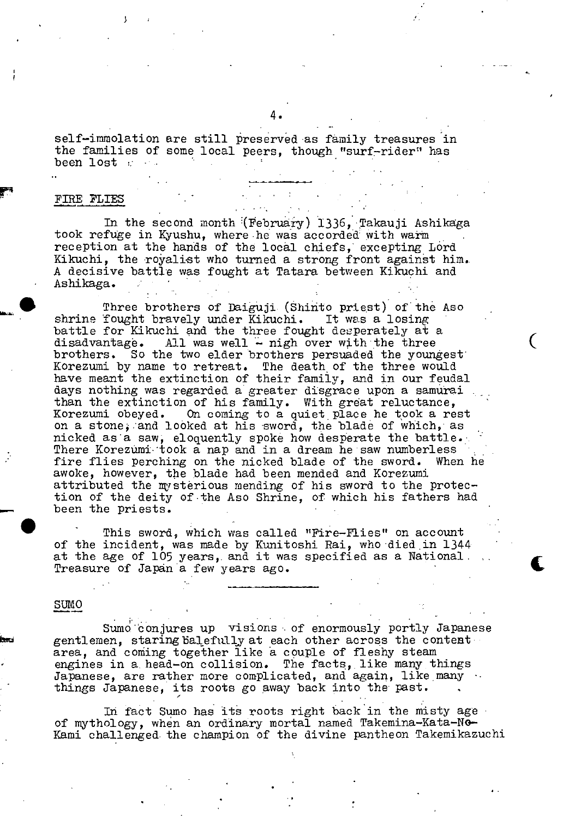self-immolation are still preserved as family treasures in the families of some local peers, though "surf-rider" has been lost and the been lost

## FThE PLIES

In the second month (February) 1336, Takauji Ashikaga took refuge in Kyushu, where he was accorded with warm reception at the hands of the local chiefs, excepting Lord Kikuchi, the royalist who turned a strong front against him. A decisive battle was fought at Tatara between Kikuchi and Ashikaga.

Three brothers of Daiguji (Shinto priest) of the Aso<br>fought bravely under Kikuchi. It was a losing shrine fought bravely under Kikuchi. battle for Kikuchi and the three fought desperately at a disadvantage. All was well  $-$  nigh over with the three brothers. So the two elder brothers persuaded the youngest Korezumi by name to retreat. The death of the three would have meant the extinction of their family, and in our feudal days nothing was regarded a greater disgrace upon a samurai than the extinction of his family. With great reluctance, Korezumi obeyed. On coming to a quiet place he took a rest on a stone;:and looked at his sword, the blade of which, as nicked as a saw, eloquently spoke how desperate the battle. There Korezümi-took a nap and in a dream he saw numberless fire flies perching on the nicked blade of the sword. When he awoke, however, the blade had been mended and Korezumi attributed the mysterious mending of his sword to the protection of the deity of the Aso Shrine, of which his fathers had been the priests.

 $\big($ 

This sword, which was called "Fire-flies" on account of the incident, was made by Kunitoshi Rai, who died,in 1344 at the age of 105 years, and it was specified as a National. Treasure of Japan a few years ago.

SUMO **SUMO** 

Sumo conjures up visions of enormously portly Japanese gentlemen, staring balefully at each other across the content area, and coming together like a couple of fleshy steam engines in a head-on collision. The facts, like many things Japanese, are rather more complicated, and again, like many  $\cdots$ things Japanese, its roots go away back into the past.

In fact Sumo has its roots right back in the misty age of mythology, when an ordinary mortal named Takemina-Kata-No-- Kami challenged. the champion of the divine pantheon Takemikazuchi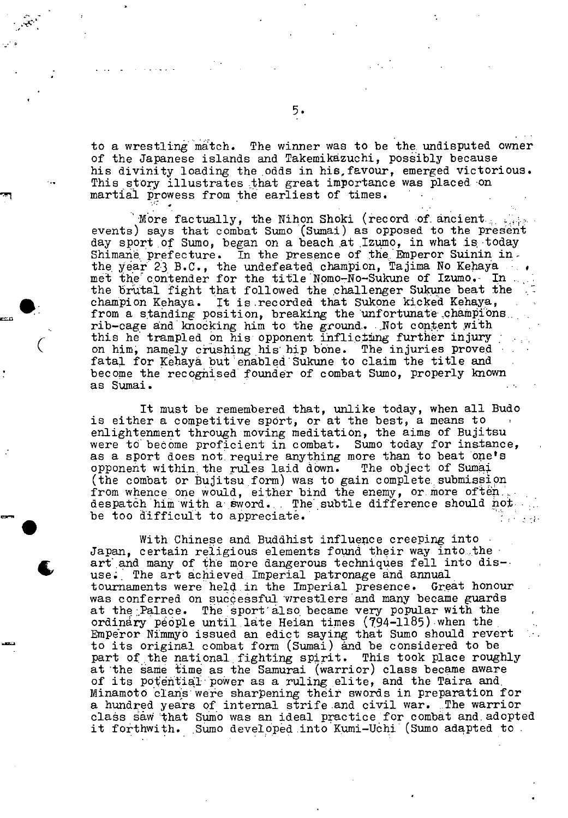to a wrestling match. The winner was to be the undisputed owner of the Japanese islands and Takemikäzuchi, possibly because his divinity loading the odds in hie,favour, emerged victorious. This story illustrates that great importance was placed on martial prowess from the earliest of times.

More factually, the Nihon Shoki (record of ancient. events) says that combat Sumo (Sumai) as opposed to the present day sport of Sumo, began on a beach at Izumo, in what is today Shimane prefecture. In the presence of the Emperor Suinin in. the year 23 B.C., the undefeated champion, Tajima No Kehaya ... met the contender for the title Nomo-No-Sukune of Izumo. In the brutal fight that followed the challenger Sukune beat the SIG CHACAL TIGHT CHAT I CITONCA THE CHAITER CITATION CORPORATION CHAMPION CHAMPION CHAMPION CHAMPIONS. rib-cage and knocking him to the ground. Not content with this he trampled on his opponent inflicting further injury on him, namely crushing his hip bone. The injuries proved fatal for Kehaya but 'enabled'Sukune to claim the title and become the recognised founder of combat Sumo, properly known as Sumai.

**t=0** 

It must be remembered that, unlike today, when all Budo is either a competitive sport, or at the best, a means to enlightenment through moving meditation, the aims of Bujitsu were to become proficient in combat. Sumo today for instance, as a sport does not, require anything more than to beat 'one's opponent within, the rules laid down. The object of Sumaj. (the combat or Bujitsu form) was to gain complete submission from whence one would, either bind the enemy, or more often. despatch him with a sword. The subtle difference should not. be too difficult to appreciate.  $\Delta \sim 10$ 

With Chinese and Buddhist influence creeping into  $\cdot$ Japan, certain religious elements found their way into the art and many of the more dangerous techniques fell into dis-<br>use. The art achieved Imperial patronage and annual<br>tournaments were held in the Imperial presence. Great honour use; The art achieved Imperial patronage and annual tournaments were held in the Imperial presence. was conferred on successful wrestlers and many became guards at the Palace. The sport also became very popular with the ordinary people until late Heian times (794-1185) when the Emperor Nimmyb issued an edict saying that Sumo should revert to its original combat form (Sumai) and be considered to be part of the national fighting spirit. This took place roughly part of the national fighting spirit. at 'the same time as the Samurai (warrior) class became aware of its potential power as a ruling elite, and the Taira and Minamoto clans were sharpening their swords in preparation for a hundred years of internal strife and civil war. The warrior class saw that Sumo was an ideal practice for combat and adopted it forthwith. Suno developed into Kumi-Uchi (Sumo adapted to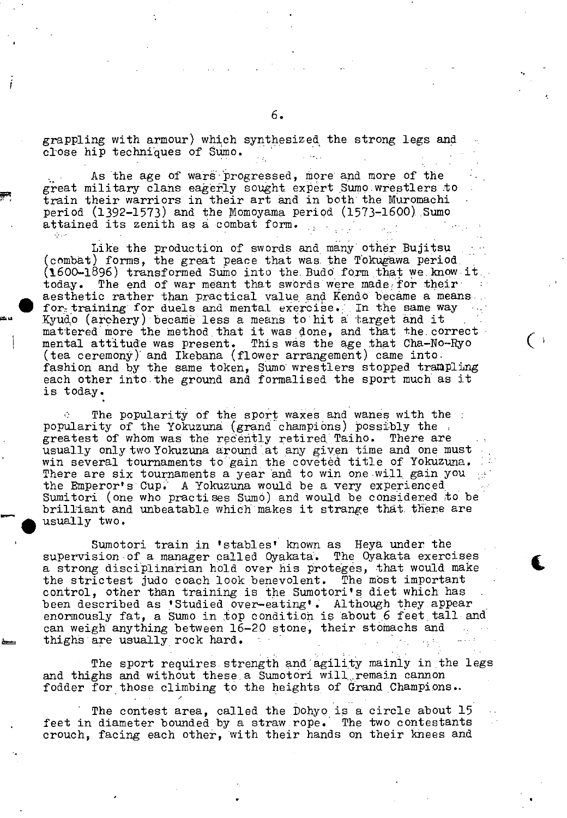grappling with armour) which synthesized. the strong legs and close hip techniques of Sumo.

As the age of wars progressed, more and more of the great military clans eagerly sought expert Sumo wrestlers to train their warriors in their art and in both the Muromachi period  $(1392-1573)$  and the Momoyama period  $(1573-1600)$  Sumo attained its zenith as a combat form.

Like the production of swords and many other Bujitsu (combat) forms, the great peace that Was the Tokugawa perio&  $(1600-1896)$  transformed Sumo into the Budd form that we know it. today. The end of war meant that swords were made for their aesthetic rather than practical value and Kendo became a means.. for<sub>s</sub> training for duels and mental exercise. In the same way Kyudo (archery) became less a means to hit a target and it mattered more the method that it was done, and that the correct. mental attitude was present. This was the age that Cha-No-Ryo (tea ceremony) and Ikebana (flower arrangement) came into. fashion and by the same token, Sumo wrestlers stopped trampling each other into the ground and formalised the sport much as it is today.

The popularity of the sport waxes and wanes with the popularity of the Yokuzuna (grand champions) possibly the greatest of whom was the recently retired Taiho. There are usually only two Yokuzuna around at any given time and one must win several tournaments to gain the coveted title of Yokuzuna. There are six tournaments a year and to win one will gain you the Emperor's Cup. A Yokuzuna would be a very experienced Sumitori (one who practises Sumo) and would be considered to be brilliant and unbeatable which makes it strange that. there are usually two.

Sumotori train in 'stables' known as Heya under the supervision of a manager called Oyakata. The Oyakata exercises a strong disciplinarian hold over his proteges, that would make the strictest judo coach look benevolent. The most important control, other than training is the Sumotori's diet which has been described as 'Studied over-eating'. Although they appear enormously fat, a Sumo in top condition is about 6 feet tall and can weigh anything between 16-20 stone, their stomachs and thighs are usually rock hard.

The sport requires strength and agility mainly in the legs and thighs and without these.a Sumotori wlll.remain cannon fodder for those climbing to the heights of Grand Champions..

The contest area, called the Dohyo is a circle about 15 feet in diameter bounded by a straw.rope. The two contestants crouch, facing each other, with their hands on their knees and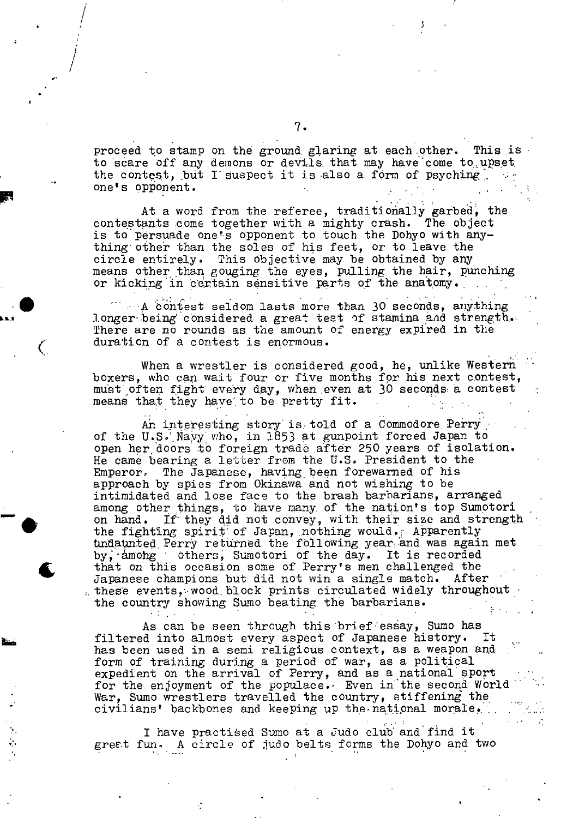proceed to stamp on the ground glaring at each other. to scare off any demons or devils that may have come to upset the contest, but I suspect it is also a form of psyching.<br>one's opponent. This is

At a word from the referee, traditionally garbed, the contestants come together with a mighty crash. The object is to persuade one's opponent to touch the Dohyo with anything other than the soles of his feet, or to leave the circle entirely. This objective may be obtained by any means other than gouging the eyes, pulling the hair, punching or kicking in certain sensitive parts of the anatomy.

 $A$  contest seldom lasts more than 30 seconds, anything longer being considered a great test of stamina and strength. There are no rounds as the amount of energy expired in the duration of a contest is enormous.

When a wrestler is considered good, he, unlike Western boxers, who can wait four or five months for his next contest, must often fight every day, when even at 30 seconds a contest means that they have to be pretty fit.

An interesting story is told of a Commodore Perry of the U.S, Nayy who, in 1853 at gunpoint forced Japan to open her doors to foreign trade after 250 years of isolation. He came bearing a letter from the U.S. President to the Emperor.. The Japanese, having been forewaned of his approach by spies from Okinawa and not wishing to be intimidated and lose face to the brash barbarians, arranged among other things, to have many. of the nation's top Sumotori on hand. If they did not convey, with their size and strength the fighting spirit of Japan, nothing would. Apparently undaunted Perry returned the following year and was again met by, among others, Sumotori of the day. It is recorded that on this occasion some of Perry's men challenged the Japanese champions but did not win a single match. After these events, wood block prints circulated widely throughout the country showing Sumo beating the barbarians.

-4

**Its** 

C

t

 $\sim 10^{-11}$ 

/

I /

> As can be seen through this brief essay, Sumo has filtered into almost every aspect of Japanese history. It has been used in a semi religious context, as a weapon and form of training during a period of war, as a political expedient on the arrival of Perry, and as a national sport for the enjoyment of the populace. Even in the second World War, Sumo wrestlers travelled the country, stiffening the civilians' backbones and keeping up the national morale.

I have practied Sumo at a Judo club and find it greet fun. A circle of judo belts forms the Dohyo and two